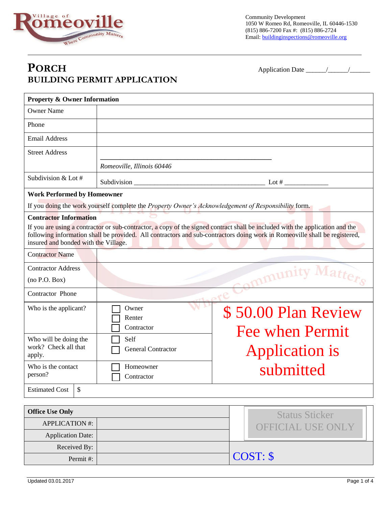

Community Development 1050 W Romeo Rd, Romeoville, IL 60446-1530 (815) 886-7200 Fax #: (815) 886-2724 Email: buildinginspections@romeoville.org

## **PORCH** Application Date \_\_\_\_\_\_/\_\_\_\_\_\_/\_\_\_\_\_\_ **BUILDING PERMIT APPLICATION**

| <b>Property &amp; Owner Information</b>                                                                                                                                                                                                                                                                                              |                                                                                                      |                          |  |
|--------------------------------------------------------------------------------------------------------------------------------------------------------------------------------------------------------------------------------------------------------------------------------------------------------------------------------------|------------------------------------------------------------------------------------------------------|--------------------------|--|
| <b>Owner Name</b>                                                                                                                                                                                                                                                                                                                    |                                                                                                      |                          |  |
| Phone                                                                                                                                                                                                                                                                                                                                |                                                                                                      |                          |  |
| <b>Email Address</b>                                                                                                                                                                                                                                                                                                                 |                                                                                                      |                          |  |
| <b>Street Address</b>                                                                                                                                                                                                                                                                                                                |                                                                                                      |                          |  |
|                                                                                                                                                                                                                                                                                                                                      | Romeoville, Illinois 60446                                                                           |                          |  |
| Subdivision & Lot #                                                                                                                                                                                                                                                                                                                  | Subdivision __                                                                                       | Lot $#$                  |  |
| <b>Work Performed by Homeowner</b>                                                                                                                                                                                                                                                                                                   |                                                                                                      |                          |  |
|                                                                                                                                                                                                                                                                                                                                      | If you doing the work yourself complete the Property Owner's Acknowledgement of Responsibility form. |                          |  |
| <b>Contractor Information</b><br>If you are using a contractor or sub-contractor, a copy of the signed contract shall be included with the application and the<br>following information shall be provided. All contractors and sub-contractors doing work in Romeoville shall be registered,<br>insured and bonded with the Village. |                                                                                                      |                          |  |
| <b>Contractor Name</b>                                                                                                                                                                                                                                                                                                               |                                                                                                      |                          |  |
| <b>Contractor Address</b>                                                                                                                                                                                                                                                                                                            |                                                                                                      |                          |  |
| (no P.O. Box)                                                                                                                                                                                                                                                                                                                        | nmunity                                                                                              |                          |  |
| Contractor Phone                                                                                                                                                                                                                                                                                                                     |                                                                                                      |                          |  |
| Who is the applicant?                                                                                                                                                                                                                                                                                                                | Owner<br>\$50.00 Plan Review<br>Renter<br>Contractor<br><b>Fee when Permit</b>                       |                          |  |
| Who will be doing the<br>work? Check all that<br>apply.                                                                                                                                                                                                                                                                              | Self<br>Application is<br><b>General Contractor</b>                                                  |                          |  |
| Who is the contact<br>person?                                                                                                                                                                                                                                                                                                        | submitted<br>Homeowner<br>Contractor<br>ட                                                            |                          |  |
| \$<br><b>Estimated Cost</b>                                                                                                                                                                                                                                                                                                          |                                                                                                      |                          |  |
|                                                                                                                                                                                                                                                                                                                                      |                                                                                                      |                          |  |
| <b>Office Use Only</b><br><b>APPLICATION #:</b>                                                                                                                                                                                                                                                                                      |                                                                                                      | <b>Status Sticker</b>    |  |
|                                                                                                                                                                                                                                                                                                                                      |                                                                                                      | <b>OFFICIAL USE ONLY</b> |  |

 $\overline{P}_{\text{Permit }#:}$   $\overline{COST: $}$ 

Application Date:

Received By: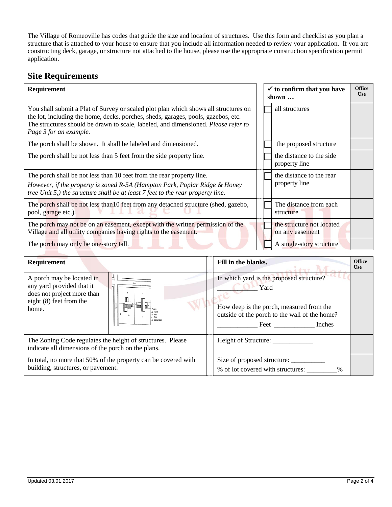The Village of Romeoville has codes that guide the size and location of structures. Use this form and checklist as you plan a structure that is attached to your house to ensure that you include all information needed to review your application. If you are constructing deck, garage, or structure not attached to the house, please use the appropriate construction specification permit application.

## **Site Requirements**

| Requirement                                                                                                                                                                                                                                                                              | $\checkmark$ to confirm that you have<br>shown $\ldots$ | <b>Office</b><br><b>Use</b> |
|------------------------------------------------------------------------------------------------------------------------------------------------------------------------------------------------------------------------------------------------------------------------------------------|---------------------------------------------------------|-----------------------------|
| You shall submit a Plat of Survey or scaled plot plan which shows all structures on<br>the lot, including the home, decks, porches, sheds, garages, pools, gazebos, etc.<br>The structures should be drawn to scale, labeled, and dimensioned. Please refer to<br>Page 3 for an example. | all structures                                          |                             |
| The porch shall be shown. It shall be labeled and dimensioned.                                                                                                                                                                                                                           | the proposed structure                                  |                             |
| The porch shall be not less than 5 feet from the side property line.                                                                                                                                                                                                                     | the distance to the side<br>property line               |                             |
| The porch shall be not less than 10 feet from the rear property line.<br>However, if the property is zoned R-5A (Hampton Park, Poplar Ridge & Honey<br>tree Unit 5,) the structure shall be at least 7 feet to the rear property line.                                                   | the distance to the rear<br>property line               |                             |
| The porch shall be not less than 10 feet from any detached structure (shed, gazebo,<br>pool, garage etc.).                                                                                                                                                                               | The distance from each<br>structure                     |                             |
| The porch may not be on an easement, except with the written permission of the<br>Village and all utility companies having rights to the easement.                                                                                                                                       | the structure not located<br>on any easement            |                             |
| The porch may only be one-story tall.                                                                                                                                                                                                                                                    | A single-story structure                                |                             |

| Requirement                                                                                                                                      | Fill in the blanks.                                                                                                                                          | <b>Office</b><br><b>Use</b> |
|--------------------------------------------------------------------------------------------------------------------------------------------------|--------------------------------------------------------------------------------------------------------------------------------------------------------------|-----------------------------|
| A porch may be located in<br>any yard provided that it<br>does not project more than<br>eight $(8)$ feet from the<br>home.<br><b>Corner Side</b> | In which yard is the proposed structure?<br>Yard<br>How deep is the porch, measured from the<br>outside of the porch to the wall of the home?<br>Feet Inches |                             |
| The Zoning Code regulates the height of structures. Please<br>indicate all dimensions of the porch on the plans.                                 | Height of Structure:                                                                                                                                         |                             |
| In total, no more that 50% of the property can be covered with<br>building, structures, or pavement.                                             | Size of proposed structure:<br>% of lot covered with structures:<br>$\frac{0}{6}$                                                                            |                             |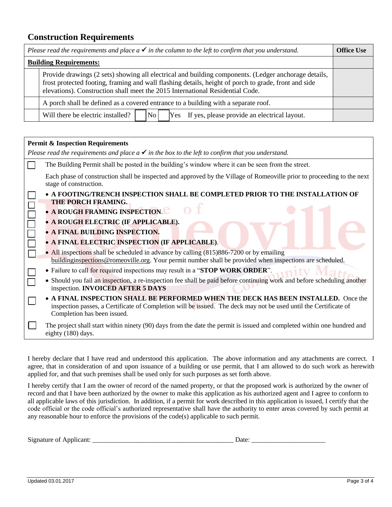## **Construction Requirements**

| Please read the requirements and place $a \checkmark$ in the column to the left to confirm that you understand. |                                                                                                                                                                                                                                                                                               | <b>Office Use</b> |
|-----------------------------------------------------------------------------------------------------------------|-----------------------------------------------------------------------------------------------------------------------------------------------------------------------------------------------------------------------------------------------------------------------------------------------|-------------------|
| <b>Building Requirements:</b>                                                                                   |                                                                                                                                                                                                                                                                                               |                   |
|                                                                                                                 | Provide drawings (2 sets) showing all electrical and building components. (Ledger anchorage details,<br>frost protected footing, framing and wall flashing details, height of porch to grade, front and side<br>elevations). Construction shall meet the 2015 International Residential Code. |                   |
| A porch shall be defined as a covered entrance to a building with a separate roof.                              |                                                                                                                                                                                                                                                                                               |                   |
|                                                                                                                 | No <br>Will there be electric installed?<br>[Yes] If yes, please provide an electrical layout.                                                                                                                                                                                                |                   |

| <b>Permit &amp; Inspection Requirements</b>                                                                                                                                                                                                                                                                                                                                                                                                                            |  |
|------------------------------------------------------------------------------------------------------------------------------------------------------------------------------------------------------------------------------------------------------------------------------------------------------------------------------------------------------------------------------------------------------------------------------------------------------------------------|--|
| Please read the requirements and place $a \checkmark$ in the box to the left to confirm that you understand.                                                                                                                                                                                                                                                                                                                                                           |  |
| The Building Permit shall be posted in the building's window where it can be seen from the street.                                                                                                                                                                                                                                                                                                                                                                     |  |
| Each phase of construction shall be inspected and approved by the Village of Romeoville prior to proceeding to the next<br>stage of construction.                                                                                                                                                                                                                                                                                                                      |  |
| • A FOOTING/TRENCH INSPECTION SHALL BE COMPLETED PRIOR TO THE INSTALLATION OF<br>THE PORCH FRAMING.<br>• A ROUGH FRAMING INSPECTION.<br>· A ROUGH ELECTRIC (IF APPLICABLE).<br>• A FINAL BUILDING INSPECTION.<br>• A FINAL ELECTRIC INSPECTION (IF APPLICABLE).<br>• All inspections shall be scheduled in advance by calling (815)886-7200 or by emailing<br>buildinginspections@romeoville.org. Your permit number shall be provided when inspections are scheduled. |  |
| • Failure to call for required inspections may result in a "STOP WORK ORDER".<br>• Should you fail an inspection, a re-inspection fee shall be paid before continuing work and before scheduling another<br>inspection. <b>INVOICED AFTER 5 DAYS</b>                                                                                                                                                                                                                   |  |
| A FINAL INSPECTION SHALL BE PERFORMED WHEN THE DECK HAS BEEN INSTALLED. Once the<br>inspection passes, a Certificate of Completion will be issued. The deck may not be used until the Certificate of<br>Completion has been issued.                                                                                                                                                                                                                                    |  |
| The project shall start within ninety (90) days from the date the permit is issued and completed within one hundred and<br>eighty (180) days.                                                                                                                                                                                                                                                                                                                          |  |

I hereby declare that I have read and understood this application. The above information and any attachments are correct. I agree, that in consideration of and upon issuance of a building or use permit, that I am allowed to do such work as herewith applied for, and that such premises shall be used only for such purposes as set forth above.

I hereby certify that I am the owner of record of the named property, or that the proposed work is authorized by the owner of record and that I have been authorized by the owner to make this application as his authorized agent and I agree to conform to all applicable laws of this jurisdiction. In addition, if a permit for work described in this application is issued, I certify that the code official or the code official's authorized representative shall have the authority to enter areas covered by such permit at any reasonable hour to enforce the provisions of the code(s) applicable to such permit.

| Signature<br>-Applicant<br>ΩŤ | Jate |  |
|-------------------------------|------|--|
|                               |      |  |